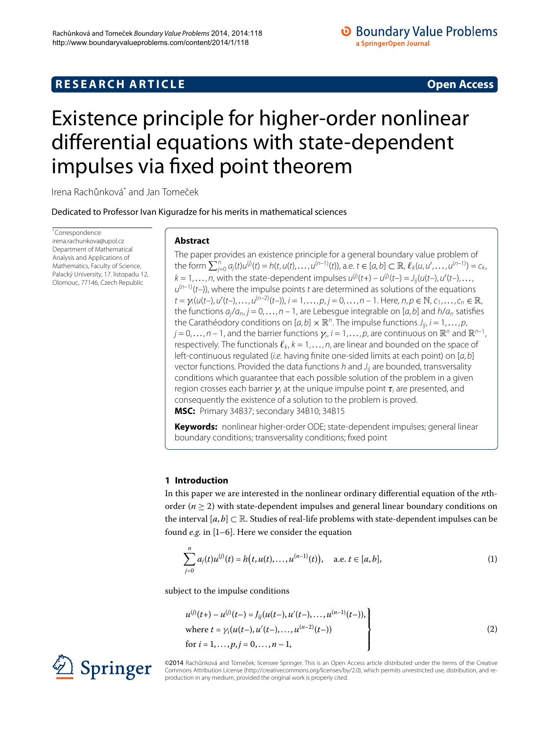## **RESEARCH ARTICLE Open Access**

# <span id="page-0-0"></span>Existence principle for higher-order nonlinear differential equations with state-dependent impulses via fixed point theorem

Irena Rachůnková<sup>[\\*](#page-0-0)</sup> and Jan Tomeček

Dedicated to Professor Ivan Kiguradze for his merits in mathematical sciences

\* Correspondence: [irena.rachunkova@upol.cz](mailto:irena.rachunkova@upol.cz) Department of Mathematical Analysis and Applications of Mathematics, Faculty of Science, Palacký University, 17. listopadu 12, Olomouc, 77146, Czech Republic

## **Abstract**

The paper provides an existence principle for a general boundary value problem of the form  $\sum_{j=0}^{n} a_j(t)u^{(j)}(t) = h(t, u(t), \dots, u^{(n-1)}(t))$ , a.e.  $t \in [a, b] \subset \mathbb{R}$ ,  $\ell_k(u, u', \dots, u^{(n-1)}) = c_k$  $k = 1, \ldots, n$ , with the state-dependent impulses  $u^{(j)}(t+) - u^{(j)}(t-) = J_{ij}(u(t-), u'(t-), \ldots, n)$  $u^{(n-1)}(t-)$ , where the impulse points t are determined as solutions of the equations  $t = \gamma_i(u(t-), u'(t-), \ldots, u^{(n-2)}(t-)), i = 1, \ldots, p, j = 0, \ldots, n-1$ . Here,  $n, p \in \mathbb{N}, c_1, \ldots, c_n \in \mathbb{R},$ the functions  $a_j/a_{n,j} = 0, \ldots, n-1$ , are Lebesgue integrable on [a, b] and  $h/a_n$  satisfies the Carathéodory conditions on  $[a, b] \times \mathbb{R}^n$ . The impulse functions  $J_{ij}$ ,  $i = 1, \ldots, p$ ,  $j = 0, \ldots, n - 1$ , and the barrier functions  $\gamma_i$ ,  $i = 1, \ldots, p$ , are continuous on  $\mathbb{R}^n$  and  $\mathbb{R}^{n-1}$ , respectively. The functionals  $\ell_k$ ,  $k = 1, \ldots, n$ , are linear and bounded on the space of left-continuous regulated (i.e. having finite one-sided limits at each point) on  $[a, b]$ vector functions. Provided the data functions  $h$  and  $J_{ii}$  are bounded, transversality conditions which guarantee that each possible solution of the problem in a given region crosses each barrier *γ*<sup>i</sup> at the unique impulse point *τ*<sup>i</sup> are presented, and consequently the existence of a solution to the problem is proved. **MSC:** Primary 34B37; secondary 34B10; 34B15

**Keywords:** nonlinear higher-order ODE; state-dependent impulses; general linear boundary conditions; transversality conditions; fixed point

## **1 Introduction**

In this paper we are interested in the nonlinear ordinary differential equation of the *n*thorder  $(n > 2)$  with state-dependent impulses and general linear boundary conditions on the interval  $[a, b] \subset \mathbb{R}$ . Studies of real-life problems with state-dependent impulses can be found  $e.g.$  in  $[1-6]$  $[1-6]$ . Here we consider the equation

<span id="page-0-2"></span><span id="page-0-1"></span>
$$
\sum_{j=0}^{n} a_j(t)u^{(j)}(t) = h(t, u(t), \dots, u^{(n-1)}(t)), \quad \text{a.e. } t \in [a, b],
$$
 (1)

subject to the impulse conditions

$$
u^{(j)}(t+) - u^{(j)}(t-) = J_{ij}(u(t-), u'(t-),..., u^{(n-1)}(t-)),
$$
  
where  $t = \gamma_i(u(t-), u'(t-),..., u^{(n-2)}(t-))$   
for  $i = 1,..., p, j = 0,..., n-1,$  (2)

©2014 Rachůnková and Tomeček; licensee Springer. This is an Open Access article distributed under the terms of the Creative Commons Attribution License (<http://creativecommons.org/licenses/by/2.0>), which permits unrestricted use, distribution, and reproduction in any medium, provided the original work is properly cited.

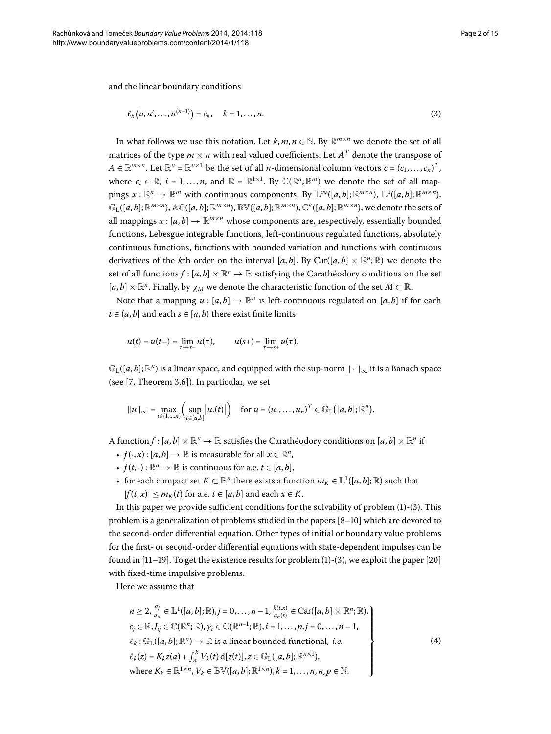and the linear boundary conditions

<span id="page-1-0"></span>
$$
\ell_k(u, u', \dots, u^{(n-1)}) = c_k, \quad k = 1, \dots, n. \tag{3}
$$

In what follows we use this notation. Let  $k, m, n \in \mathbb{N}$ . By  $\mathbb{R}^{m \times n}$  we denote the set of all matrices of the type  $m \times n$  with real valued coefficients. Let  $A<sup>T</sup>$  denote the transpose of  $A \in \mathbb{R}^{m \times n}$ . Let  $\mathbb{R}^n = \mathbb{R}^{n \times 1}$  be the set of all *n*-dimensional column vectors  $c = (c_1, \ldots, c_n)^T$ , where  $c_i \in \mathbb{R}$ ,  $i = 1,...,n$ , and  $\mathbb{R} = \mathbb{R}^{1 \times 1}$ . By  $\mathbb{C}(\mathbb{R}^n;\mathbb{R}^m)$  we denote the set of all map- $\text{pings } x : \mathbb{R}^n \to \mathbb{R}^m \text{ with continuous components. By } \mathbb{L}^\infty([a,b];\mathbb{R}^{m\times n})\text{, } \mathbb{L}^1([a,b];\mathbb{R}^{m\times n})\text{,}$  $\mathbb{G}_{\mathrm{L}}([a,b];\mathbb{R}^{m\times n})$ ,  $\mathbb{AC}([a,b];\mathbb{R}^{m\times n})$ ,  $\mathbb{BV}([a,b];\mathbb{R}^{m\times n})$ ,  $\mathbb{C}^k([a,b];\mathbb{R}^{m\times n})$ , we denote the sets of all mappings  $x : [a, b] \to \mathbb{R}^{m \times n}$  whose components are, respectively, essentially bounded functions, Lebesgue integrable functions, left-continuous regulated functions, absolutely continuous functions, functions with bounded variation and functions with continuous derivatives of the *k*th order on the interval [a, b]. By Car([a, b]  $\times \mathbb{R}^n$ ; R) we denote the set of all functions  $f : [a, b] \times \mathbb{R}^n \to \mathbb{R}$  satisfying the Carathéodory conditions on the set  $[a, b] \times \mathbb{R}^n$ . Finally, by  $\chi_M$  we denote the characteristic function of the set  $M \subset \mathbb{R}$ .

Note that a mapping  $u : [a, b] \to \mathbb{R}^n$  is left-continuous regulated on  $[a, b]$  if for each *t* ∈  $(a, b]$  and each *s* ∈  $[a, b)$  there exist finite limits

$$
u(t) = u(t-) = \lim_{\tau \to t-} u(\tau), \qquad u(s+) = \lim_{\tau \to s+} u(\tau).
$$

 $\mathbb{G}_{\mathrm{L}}([a,b];\mathbb{R}^n)$  is a linear space, and equipped with the sup-norm  $\|\cdot\|_{\infty}$  it is a Banach space (see  $[7,$  $[7,$  Theorem 3.6]). In particular, we set

$$
||u||_{\infty} = \max_{i \in \{1,\ldots,n\}} \left( \sup_{t \in [a,b]} |u_i(t)| \right) \quad \text{for } u = (u_1,\ldots,u_n)^T \in \mathbb{G}_{\mathrm{L}}\big([a,b];\mathbb{R}^n\big).
$$

A function  $f : [a, b] \times \mathbb{R}^n \to \mathbb{R}$  satisfies the Carathéodory conditions on  $[a, b] \times \mathbb{R}^n$  if

- $f(\cdot, x) : [a, b] \to \mathbb{R}$  is measurable for all  $x \in \mathbb{R}^n$ ,
- $f(t, \cdot): \mathbb{R}^n \to \mathbb{R}$  is continuous for a.e.  $t \in [a, b]$ ,
- for each compact set  $K \subset \mathbb{R}^n$  there exists a function  $m_K \in \mathbb{L}^1([a,b];\mathbb{R})$  such that  $|f(t,x)| \leq m_K(t)$  for a.e.  $t \in [a, b]$  and each  $x \in K$ .

In this paper we provide sufficient conditions for the solvability of problem  $(1)-(3)$  $(1)-(3)$ . This problem is a generalization of problems studied in the papers  $[8-10]$  $[8-10]$  which are devoted to the second-order differential equation. Other types of initial or boundary value problems for the first- or second-order differential equations with state-dependent impulses can be found in  $[11–19]$  $[11–19]$  $[11–19]$  $[11–19]$ . To get the existence results for problem  $(1)-(3)$  $(1)-(3)$  $(1)-(3)$ , we exploit the paper  $[20]$ with fixed-time impulsive problems.

Here we assume that

<span id="page-1-1"></span>
$$
n \geq 2, \frac{a_j}{a_n} \in \mathbb{L}^1([a, b]; \mathbb{R}), j = 0, \dots, n - 1, \frac{h(t, x)}{a_n(t)} \in \text{Car}([a, b] \times \mathbb{R}^n; \mathbb{R}),
$$
  
\n
$$
c_j \in \mathbb{R}, J_{ij} \in \mathbb{C}(\mathbb{R}^n; \mathbb{R}), \gamma_i \in \mathbb{C}(\mathbb{R}^{n-1}; \mathbb{R}), i = 1, \dots, p, j = 0, \dots, n - 1,
$$
  
\n
$$
\ell_k : \mathbb{G}_\mathbb{L}([a, b]; \mathbb{R}^n) \to \mathbb{R} \text{ is a linear bounded functional, } i.e.
$$
  
\n
$$
\ell_k(z) = K_k z(a) + \int_a^b V_k(t) d[z(t)], z \in \mathbb{G}_\mathbb{L}([a, b]; \mathbb{R}^{n \times 1}),
$$
  
\nwhere  $K_k \in \mathbb{R}^{1 \times n}, V_k \in \mathbb{B} \mathbb{V}([a, b]; \mathbb{R}^{1 \times n}), k = 1, \dots, n, n, p \in \mathbb{N}.$   
\n(4)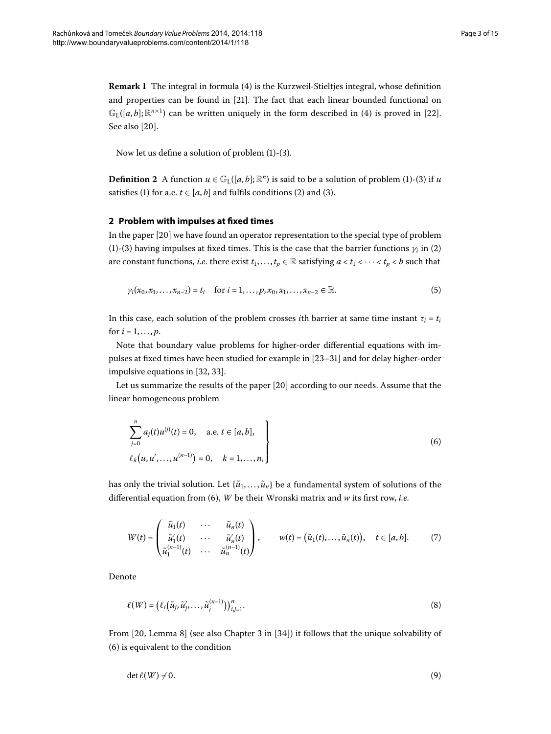**Remark 1** The integral in formula [\(](#page-1-1)4) is the Kurzweil-Stieltjes integral, whose definition and properties can be found in [21[\]](#page-13-8). The fact that each linear bounded functional on  $\mathbb{G}_{\mathrm{L}}([a,b];\mathbb{R}^{n\times 1})$  $\mathbb{G}_{\mathrm{L}}([a,b];\mathbb{R}^{n\times 1})$  $\mathbb{G}_{\mathrm{L}}([a,b];\mathbb{R}^{n\times 1})$  can be written uniquely in the form described in (4) is proved in [22]. See also [20].

Now let us define a solution of problem  $(1)-(3)$  $(1)-(3)$ .

**Definition 2** A function  $u \in \mathbb{G}_{L}([a, b]; \mathbb{R}^{n})$  $u \in \mathbb{G}_{L}([a, b]; \mathbb{R}^{n})$  is said to be a solution of problem (1)-(3) if *u* satisfies (1[\)](#page-0-1) for a.e.  $t \in [a, b]$  and fulfils conditions [\(](#page-1-0)2) and (3).

#### **2 Problem with impulses at fixed times**

In the paper  $[20]$  we have found an operator representation to the special type of problem (1[\)](#page-1-0)-[\(](#page-0-2)3) having impulses at fixed times. This is the case that the barrier functions  $\gamma_i$  in (2) are constant functions, *i.e.* there exist  $t_1, \ldots, t_p \in \mathbb{R}$  satisfying  $a < t_1 < \cdots < t_p < b$  such that

<span id="page-2-2"></span>
$$
\gamma_i(x_0, x_1,...,x_{n-2}) = t_i
$$
 for  $i = 1,...,p, x_0, x_1,...,x_{n-2} \in \mathbb{R}$ . (5)

In this case, each solution of the problem crosses *i*th barrier at same time instant  $\tau_i = t_i$ for  $i = 1, ..., p$ .

Note that boundary value problems for higher-order differential equations with impulses at fixed times have been studied for example in [23-31] and for delay higher-order impulsive equations in  $[32, 33]$  $[32, 33]$  $[32, 33]$  $[32, 33]$ .

Let us summarize the results of the paper [20] according to our needs. Assume that the linear homogeneous problem

<span id="page-2-3"></span><span id="page-2-0"></span>
$$
\sum_{j=0}^{n} a_j(t) u^{(j)}(t) = 0, \quad \text{a.e. } t \in [a, b],
$$
  

$$
\ell_k(u, u', \dots, u^{(n-1)}) = 0, \quad k = 1, \dots, n,
$$
 (6)

has only the trivial solution. Let  $\{\tilde{u}_1, \ldots, \tilde{u}_n\}$  be a fundamental system of solutions of the differential equation from (6), *W* be their Wronski matrix and *w* its first row, *i.e.* 

<span id="page-2-4"></span>
$$
W(t) = \begin{pmatrix} \tilde{u}_1(t) & \cdots & \tilde{u}_n(t) \\ \tilde{u}'_1(t) & \cdots & \tilde{u}'_n(t) \\ \tilde{u}'_1^{(n-1)}(t) & \cdots & \tilde{u}'_n^{(n-1)}(t) \end{pmatrix}, \qquad w(t) = (\tilde{u}_1(t), \ldots, \tilde{u}_n(t)), \quad t \in [a, b]. \tag{7}
$$

Denote

<span id="page-2-1"></span>
$$
\ell(W) = \left(\ell_i\big(\tilde{u}_j, \tilde{u}'_j, \dots, \tilde{u}_j^{(n-1)}\big)\right)_{i,j=1}^n. \tag{8}
$$

From  $[20,$  Lemma 8 $]$  (see also Chapter 3 in  $[34]$ ) it follows that the unique solvability of (6) is equivalent to the condition

$$
\det \ell(W) \neq 0. \tag{9}
$$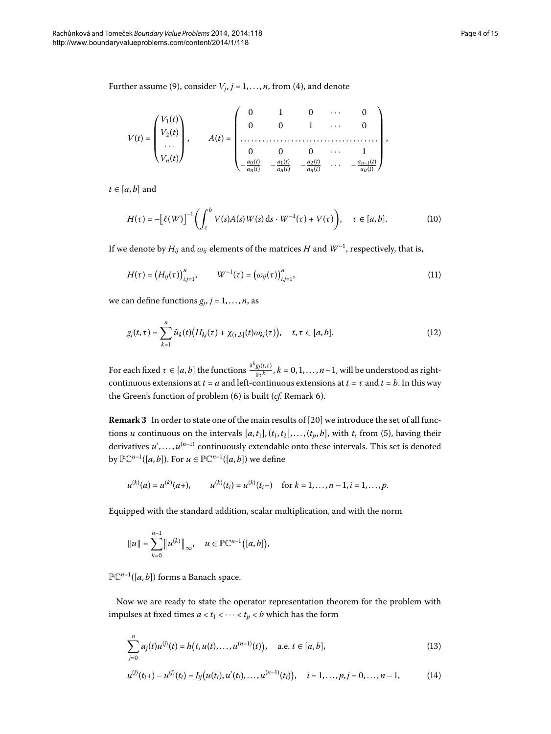Further assume [\(](#page-2-1)9), consider  $V_i$ ,  $j = 1, \ldots, n$ , from (4), and denote

<span id="page-3-3"></span>
$$
V(t) = \begin{pmatrix} V_1(t) \\ V_2(t) \\ \cdots \\ V_n(t) \end{pmatrix}, \qquad A(t) = \begin{pmatrix} 0 & 1 & 0 & \cdots & 0 \\ 0 & 0 & 1 & \cdots & 0 \\ \cdots & \cdots & \cdots & \cdots & \cdots & \cdots \\ 0 & 0 & 0 & \cdots & 1 \\ -\frac{a_0(t)}{a_n(t)} & -\frac{a_1(t)}{a_n(t)} & -\frac{a_2(t)}{a_n(t)} & \cdots & -\frac{a_{n-1}(t)}{a_n(t)} \end{pmatrix},
$$

 $t \in [a, b]$  and

<span id="page-3-2"></span>
$$
H(\tau) = -\left[\ell(W)\right]^{-1} \left(\int_{\tau}^{b} V(s)A(s)W(s) \, \mathrm{d}s \cdot W^{-1}(\tau) + V(\tau)\right), \quad \tau \in [a, b]. \tag{10}
$$

If we denote by  $H_{ij}$  and  $\omega_{ij}$  elements of the matrices  $H$  and  $W^{-1}$ , respectively, that is,

<span id="page-3-0"></span>
$$
H(\tau) = (H_{ij}(\tau))_{i,j=1}^n, \qquad W^{-1}(\tau) = (\omega_{ij}(\tau))_{i,j=1}^n,
$$
\n(11)

we can define functions  $g_j$ ,  $j = 1, \ldots, n$ , as

$$
g_j(t,\tau) = \sum_{k=1}^n \tilde{u}_k(t) \big( H_{kj}(\tau) + \chi_{(\tau,b]}(t) \omega_{kj}(\tau) \big), \quad t, \tau \in [a,b]. \tag{12}
$$

<span id="page-3-4"></span>For each fixed  $\tau \in [a,b]$  the functions  $\frac{\partial^k g_j(t,\tau)}{\partial \tau^k}$ ,  $k=0,1,\ldots,n-1,$  will be understood as rightcontinuous extensions at  $t = a$  and left-continuous extensions at  $t = \tau$  and  $t = b$ . In this way the Green's function of problem (6[\)](#page-4-0) is built (*cf.* Remark 6).

**Remark 3** In order to state one of the main results of [20] we introduce the set of all functions *u* continuous on the intervals  $[a, t_1], (t_1, t_2], ..., (t_p, b]$ , with  $t_i$  from (5[\)](#page-2-2), having their derivatives  $u',\ldots,u^{(n-1)}$  continuously extendable onto these intervals. This set is denoted by  $\mathbb{PC}^{n-1}([a, b])$ . For  $u \in \mathbb{PC}^{n-1}([a, b])$  we define

$$
u^{(k)}(a) = u^{(k)}(a+),
$$
  $u^{(k)}(t_i) = u^{(k)}(t_i-)$  for  $k = 1,...,n-1, i = 1,...,p$ .

Equipped with the standard addition, scalar multiplication, and with the norm

<span id="page-3-1"></span>
$$
||u|| = \sum_{k=0}^{n-1} ||u^{(k)}||_{\infty}, \quad u \in \mathbb{PC}^{n-1}([a, b]),
$$

 $\mathbb{PC}^{n-1}([a, b])$  forms a Banach space.

Now we are ready to state the operator representation theorem for the problem with impulses at fixed times  $a < t_1 < \cdots < t_p < b$  which has the form

<span id="page-3-5"></span>
$$
\sum_{j=0}^{n} a_j(t) u^{(j)}(t) = h(t, u(t), \dots, u^{(n-1)}(t)), \quad \text{a.e. } t \in [a, b],
$$
\n(13)

$$
u^{(j)}(t_i+) - u^{(j)}(t_i) = J_{ij}(u(t_i), u'(t_i), \dots, u^{(n-1)}(t_i)), \quad i = 1, \dots, p, j = 0, \dots, n-1,
$$
 (14)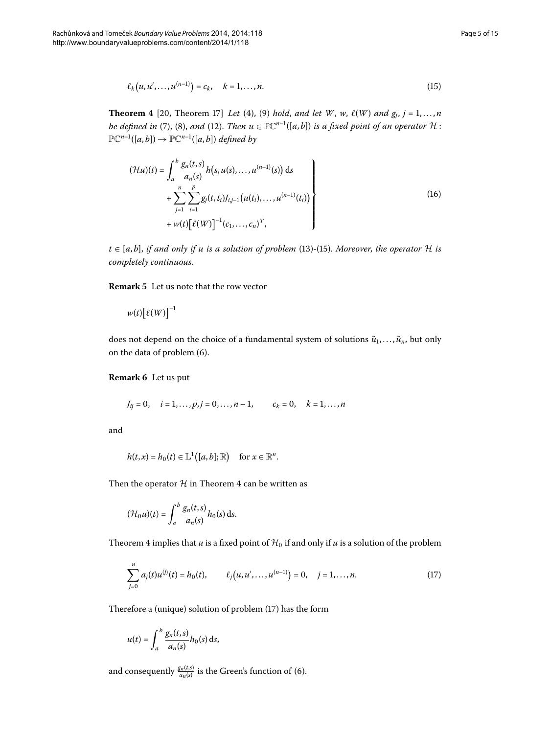<span id="page-4-4"></span><span id="page-4-2"></span><span id="page-4-1"></span>
$$
\ell_k(u, u', \dots, u^{(n-1)}) = c_k, \quad k = 1, \dots, n. \tag{15}
$$

**Theorem 4** [20, Theorem 17] *Let* (4), (9) *hold, and let W*, *w*,  $\ell(W)$  *and g<sub>j</sub>*,  $j = 1,...,n$ *be defined in* (7[\)](#page-3-0), [\(](#page-2-4)8), *and* (12). *Then*  $u \in \mathbb{PC}^{n-1}([a, b])$  *is a fixed point of an operator*  $H$ :  $\mathbb{PC}^{n-1}([a,b]) \to \mathbb{PC}^{n-1}([a,b])$  *defined by* 

$$
(\mathcal{H}u)(t) = \int_{a}^{b} \frac{g_n(t,s)}{a_n(s)} h(s, u(s), \dots, u^{(n-1)}(s)) ds + \sum_{j=1}^{n} \sum_{i=1}^{p} g_j(t, t_i) J_{i,j-1}(u(t_i), \dots, u^{(n-1)}(t_i)) + w(t) [\ell(W)]^{-1} (c_1, \dots, c_n)^T,
$$
\n(16)

 $t \in [a, b]$ , *if and only if u is a solution of problem* (13[\)](#page-3-1)-[\(](#page-4-1)15). Moreover, the operator H *is completely continuous*.

<span id="page-4-0"></span>**Remark 5** Let us note that the row vector

$$
w(t)\big[\ell(W)\big]^{-1}
$$

does not depend on the choice of a fundamental system of solutions  $\tilde{u}_1, \ldots, \tilde{u}_n$ , but only on the data of problem (6[\)](#page-2-0).

**Remark 6** Let us put

$$
J_{ij} = 0
$$
,  $i = 1,..., p, j = 0,..., n-1$ ,  $c_k = 0$ ,  $k = 1,..., n$ 

and

$$
h(t,x)=h_0(t)\in \mathbb{L}^1([a,b];\mathbb{R}) \quad \text{ for } x\in \mathbb{R}^n.
$$

Then the operator  $H$  in Theorem 4 can be written as

<span id="page-4-3"></span>
$$
(\mathcal{H}_0 u)(t) = \int_a^b \frac{g_n(t,s)}{a_n(s)} h_0(s) \, \mathrm{d}s.
$$

Theorem 4 implies that *u* is a fixed point of  $H_0$  if and only if *u* is a solution of the problem

$$
\sum_{j=0}^{n} a_j(t) u^{(j)}(t) = h_0(t), \qquad \ell_j\big(u, u', \dots, u^{(n-1)}\big) = 0, \quad j = 1, \dots, n. \tag{17}
$$

Therefore a (unique[\)](#page-4-3) solution of problem  $(17)$  has the form

$$
u(t) = \int_a^b \frac{g_n(t,s)}{a_n(s)} h_0(s) \, ds,
$$

and consequently  $\frac{g_n(t,s)}{a_n(s)}$  is the Green's function of (6).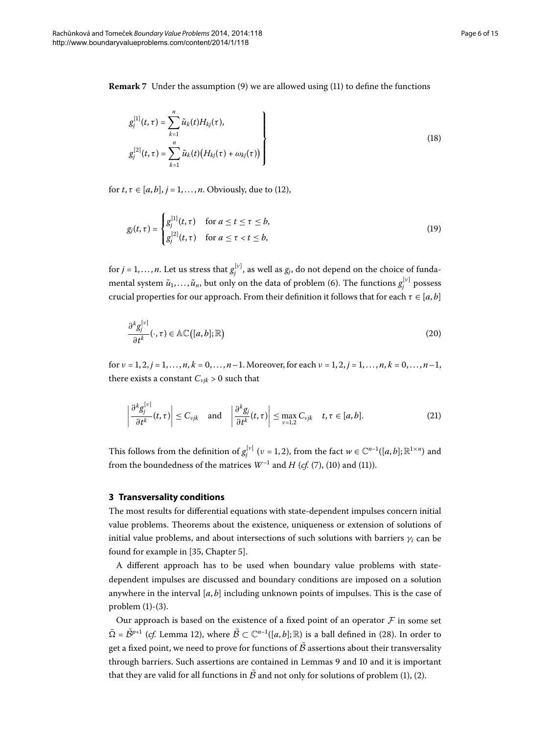**Remark** 7 Under the assumption [\(](#page-3-2)9) we are allowed using (11) to define the functions

<span id="page-5-2"></span><span id="page-5-1"></span>
$$
g_j^{[1]}(t, \tau) = \sum_{k=1}^n \tilde{u}_k(t) H_{kj}(\tau),
$$
  
\n
$$
g_j^{[2]}(t, \tau) = \sum_{k=1}^n \tilde{u}_k(t) (H_{kj}(\tau) + \omega_{kj}(\tau))
$$
\n(18)

for  $t, \tau \in [a, b], j = 1, \ldots, n$ . Obviously, due to [\(](#page-3-0)12),

<span id="page-5-3"></span>
$$
g_j(t,\tau) = \begin{cases} g_j^{[1]}(t,\tau) & \text{for } a \le t \le \tau \le b, \\ g_j^{[2]}(t,\tau) & \text{for } a \le \tau < t \le b, \end{cases} \tag{19}
$$

for  $j = 1, \ldots, n$ . Let us stress that  $g_j^{[\nu]}$ , as well as  $g_j$ , do not depend on the choice of fundamental system  $\tilde{u}_1, \ldots, \tilde{u}_n$ , but only on the data of problem (6). The functions  $g_j^{[\nu]}$  possess crucial properties for our approach. From their definition it follows that for each  $\tau \in [a, b]$ 

<span id="page-5-0"></span>
$$
\frac{\partial^k g_j^{[v]}}{\partial t^k}(\cdot, \tau) \in \mathbb{AC}([a, b]; \mathbb{R})
$$
\n(20)

for  $\nu = 1, 2, j = 1, \ldots, n, k = 0, \ldots, n-1$ . Moreover, for each  $\nu = 1, 2, j = 1, \ldots, n, k = 0, \ldots, n-1$ , there exists a constant  $C_{vjk} > 0$  such that

$$
\left|\frac{\partial^k g_j^{[\nu]}}{\partial t^k}(t,\tau)\right| \leq C_{\nu jk} \quad \text{and} \quad \left|\frac{\partial^k g_j}{\partial t^k}(t,\tau)\right| \leq \max_{\nu=1,2} C_{\nu jk} \quad t,\tau \in [a,b]. \tag{21}
$$

This follows from the definition of  $g_j^{[\nu]}$  ( $\nu$  = 1, 2), from the fact  $w \in \mathbb{C}^{n-1}([a,b];\mathbb{R}^{1\times n})$  and from the boundedness of the matrices  $W^{-1}$  and  $H$  (*cf.* (7[\)](#page-3-3), (10) and (11)).

#### **3 Transversality conditions**

The most results for differential equations with state-dependent impulses concern initial value problems. Theorems about the existence, uniqueness or extension of solutions of initial value problems, and about intersections of such solutions with barriers  $\gamma_i$  can be found for example in [35[,](#page-14-6) Chapter 5].

A different approach has to be used when boundary value problems with statedependent impulses are discussed and boundary conditions are imposed on a solution anywhere in the interval  $[a, b]$  including unknown points of impulses. This is the case of problem  $(1)-(3)$  $(1)-(3)$  $(1)-(3)$ .

Our approach is based on the existence of a fixed point of an operator  $F$  in some set  $\overline{\Omega} = \overline{\mathcal{B}}^{p+1}$  [\(](#page-6-0)*cf.* Lemma 12), where  $\overline{\mathcal{B}} \subset \mathbb{C}^{n-1}([a, b]; \mathbb{R})$  is a ball defined in (28). In order to get a fixed point, we need to prove for functions of  $\bar{\mathcal{B}}$  assertions about their transversality through barriers. Such assertions are contained in Lemmas 9 and 10 and it is important that they are valid for all functions in  $\bar{\mathcal{B}}$  and not only for solutions of problem (1[\)](#page-0-2), (2).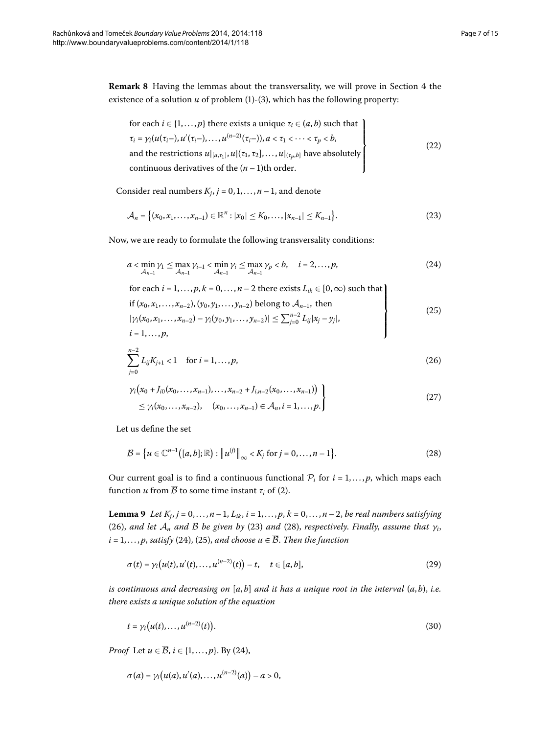<span id="page-6-7"></span>**Remark 8** Having the lemmas about the transversality, we will prove in Section 4 the existence of a solution  $u$  of problem  $(1)-(3)$  $(1)-(3)$ , which has the following property:

<span id="page-6-9"></span><span id="page-6-3"></span>for each 
$$
i \in \{1, ..., p\}
$$
 there exists a unique  $\tau_i \in (a, b)$  such that  
\n
$$
\tau_i = \gamma_i(u(\tau_i-), u'(\tau_i-), ..., u^{(n-2)}(\tau_i-)), a < \tau_1 < \cdots < \tau_p < b,
$$
  
\nand the restrictions  $u|_{[a,\tau_1]}, u|( \tau_1, \tau_2], ..., u|_{(\tau_p, b]}$  have absolutely  
\ncontinuous derivatives of the  $(n - 1)$ th order. (22)

Consider real numbers  $K_j$ ,  $j = 0, 1, ..., n - 1$ , and denote

<span id="page-6-5"></span><span id="page-6-4"></span>
$$
\mathcal{A}_n = \{(x_0, x_1, \dots, x_{n-1}) \in \mathbb{R}^n : |x_0| \le K_0, \dots, |x_{n-1}| \le K_{n-1}\}.
$$
\n(23)

Now, we are ready to formulate the following transversality conditions:

$$
a < \min_{\mathcal{A}_{n-1}} \gamma_1 \le \max_{\mathcal{A}_{n-1}} \gamma_{i-1} < \min_{\mathcal{A}_{n-1}} \gamma_i \le \max_{\mathcal{A}_{n-1}} \gamma_p < b, \quad i = 2, ..., p,
$$
 (24)

<span id="page-6-8"></span><span id="page-6-2"></span>for each 
$$
i = 1, ..., p, k = 0, ..., n - 2
$$
 there exists  $L_{ik} \in [0, \infty)$  such that  
\nif  $(x_0, x_1, ..., x_{n-2}), (y_0, y_1, ..., y_{n-2})$  belong to  $A_{n-1}$ , then  
\n $|\gamma_i(x_0, x_1, ..., x_{n-2}) - \gamma_i(y_0, y_1, ..., y_{n-2})| \le \sum_{j=0}^{n-2} L_{ij} |x_j - y_j|,$   
\n $i = 1, ..., p,$  (25)

$$
\sum_{j=0}^{n-2} L_{ij} K_{j+1} < 1 \quad \text{for } i = 1, \dots, p,\tag{26}
$$

<span id="page-6-0"></span>
$$
\gamma_i(x_0 + J_{i0}(x_0, \ldots, x_{n-1}), \ldots, x_{n-2} + J_{i,n-2}(x_0, \ldots, x_{n-1}))
$$
\n
$$
\leq \gamma_i(x_0, \ldots, x_{n-2}), \quad (x_0, \ldots, x_{n-1}) \in \mathcal{A}_n, i = 1, \ldots, p.
$$
\n
$$
(27)
$$

<span id="page-6-1"></span>Let us define the set

<span id="page-6-10"></span>
$$
\mathcal{B} = \{ u \in \mathbb{C}^{n-1}([a, b]; \mathbb{R}) : ||u^{(j)}||_{\infty} < K_j \text{ for } j = 0, ..., n-1 \}.
$$
 (28)

Our current goal is to find a continuous functional  $P_i$  for  $i = 1, \ldots, p$ , which maps each function *u* from  $\overline{B}$  to some time instant  $\tau_i$  of [\(](#page-0-2)2).

**Lemma 9** Let  $K_i$ ,  $j = 0, ..., n - 1$ ,  $L_{ik}$ ,  $i = 1, ..., p$ ,  $k = 0, ..., n - 2$ , be real numbers satisfying [\(](#page-6-0)26), and let  $A_n$  and B be given by (23) and (28), respectively. Finally, assume that  $\gamma_i$ ,  $i = 1, \ldots, p$ , *satisfy* [\(](#page-6-5)24), (25), *and choose*  $u \in \overline{\mathcal{B}}$ . *Then the function* 

<span id="page-6-6"></span>
$$
\sigma(t) = \gamma_i(u(t), u'(t), \dots, u^{(n-2)}(t)) - t, \quad t \in [a, b],
$$
\n(29)

*is continuous and decreasing on* [*a*, *b*] *and it has a unique root in the interval* (*a*, *b*), *i.e. there exists a unique solution of the equation*

$$
t = \gamma_i\big(u(t), \ldots, u^{(n-2)}(t)\big). \tag{30}
$$

*Proof* Let  $u \in \overline{\mathcal{B}}$ ,  $i \in \{1, ..., p\}$ . By (24),

$$
\sigma(a) = \gamma_i(u(a), u'(a), \ldots, u^{(n-2)}(a)) - a > 0,
$$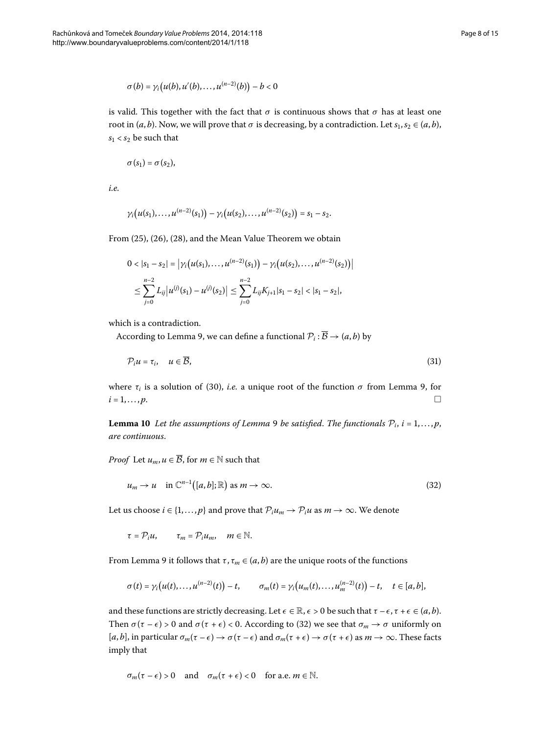$$
\sigma(b) = \gamma_i\big(u(b), u'(b), \ldots, u^{(n-2)}(b)\big) - b < 0
$$

is valid. This together with the fact that  $\sigma$  is continuous shows that  $\sigma$  has at least one root in  $(a, b)$ . Now, we will prove that  $\sigma$  is decreasing, by a contradiction. Let  $s_1, s_2 \in (a, b)$ ,  $s_1 < s_2$  be such that

$$
\sigma(s_1)=\sigma(s_2),
$$

*i.e.*

$$
\gamma_i(u(s_1),...,u^{(n-2)}(s_1))-\gamma_i(u(s_2),...,u^{(n-2)}(s_2))=s_1-s_2.
$$

From  $(25)$  $(25)$ ,  $(26)$ ,  $(28)$ , and the Mean Value Theorem we obtain

<span id="page-7-2"></span>
$$
0 < |s_1 - s_2| = |\gamma_i(u(s_1), \dots, u^{(n-2)}(s_1)) - \gamma_i(u(s_2), \dots, u^{(n-2)}(s_2))|
$$
  

$$
\leq \sum_{j=0}^{n-2} L_{ij} |u^{(j)}(s_1) - u^{(j)}(s_2)| \leq \sum_{j=0}^{n-2} L_{ij} K_{j+1} |s_1 - s_2| < |s_1 - s_2|,
$$

<span id="page-7-0"></span>which is a contradiction.

According to Lemma 9, we can define a functional  $P_i : \overline{B} \to (a, b)$  by

<span id="page-7-1"></span>
$$
\mathcal{P}_i u = \tau_i, \quad u \in \overline{\mathcal{B}},\tag{31}
$$

where  $\tau_i$  is a solution of [\(](#page-6-6)30)[,](#page-6-1) *i.e.* a unique root of the function  $\sigma$  from Lemma 9, for  $i = 1, \ldots, p.$ 

**Lemma 10** Let the assumptions of Lemma 9 be satisfied. The functionals  $P_i$ ,  $i = 1, \ldots, p$ , *are continuous*.

*Proof* Let  $u_m, u \in \overline{\mathcal{B}}$ , for  $m \in \mathbb{N}$  such that

$$
u_m \to u \quad \text{in } \mathbb{C}^{n-1}([a,b];\mathbb{R}) \text{ as } m \to \infty. \tag{32}
$$

Let us choose  $i \in \{1, ..., p\}$  and prove that  $\mathcal{P}_i u_m \to \mathcal{P}_i u$  as  $m \to \infty$ . We denote

 $\tau = \mathcal{P}_i u$ ,  $\tau_m = \mathcal{P}_i u_m$ ,  $m \in \mathbb{N}$ .

From Lemma 9 it follows that  $\tau$ ,  $\tau_m \in (a, b)$  are the unique roots of the functions

$$
\sigma(t)=\gamma_i\big(u(t),\ldots,u^{(n-2)}(t)\big)-t,\qquad \sigma_m(t)=\gamma_i\big(u_m(t),\ldots,u_m^{(n-2)}(t)\big)-t,\quad t\in [a,b],
$$

and these functions are strictly decreasing. Let  $\epsilon \in \mathbb{R}, \epsilon > 0$  be such that  $\tau - \epsilon, \tau + \epsilon \in (a, b)$ . Then  $\sigma(\tau - \epsilon) > 0$  $\sigma(\tau - \epsilon) > 0$  $\sigma(\tau - \epsilon) > 0$  and  $\sigma(\tau + \epsilon) < 0$ . According to (32) we see that  $\sigma_m \to \sigma$  uniformly on  $[a, b]$ , in particular  $\sigma_m(\tau - \epsilon) \to \sigma(\tau - \epsilon)$  and  $\sigma_m(\tau + \epsilon) \to \sigma(\tau + \epsilon)$  as  $m \to \infty$ . These facts imply that

$$
\sigma_m(\tau-\epsilon)>0\quad\text{and}\quad\sigma_m(\tau+\epsilon)<0\quad\text{for a.e.}\;m\in\mathbb{N}.
$$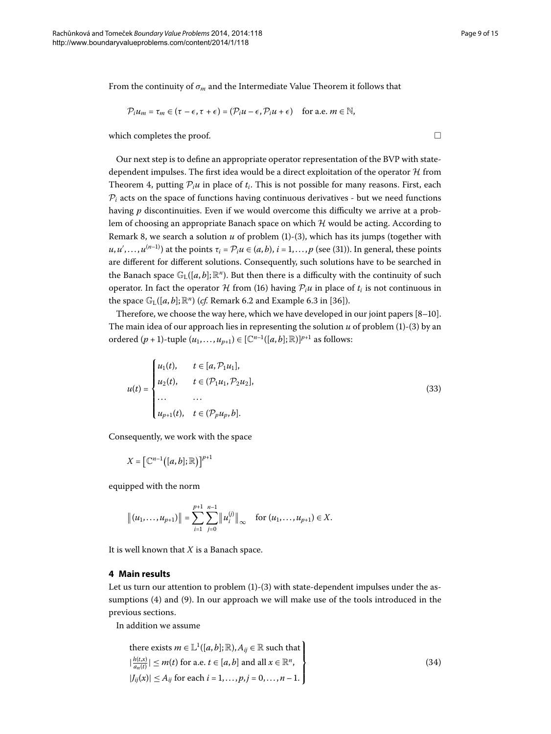From the continuity of  $\sigma_m$  and the Intermediate Value Theorem it follows that

$$
\mathcal{P}_i u_m = \tau_m \in (\tau - \epsilon, \tau + \epsilon) = (\mathcal{P}_i u - \epsilon, \mathcal{P}_i u + \epsilon) \quad \text{for a.e. } m \in \mathbb{N},
$$

which completes the proof.  $\Box$ 

Our next step is to define an appropriate operator representation of the BVP with statedependent impulses. The first idea would be a direct exploitation of the operator  $H$  from Theorem 4[,](#page-4-2) putting  $P_i u$  in place of  $t_i$ . This is not possible for many reasons. First, each  $P_i$  acts on the space of functions having continuous derivatives - but we need functions having *p* discontinuities. Even if we would overcome this difficulty we arrive at a problem of choosing an appropriate Banach space on which  $H$  would be acting. According to Remark 8[,](#page-6-7) we search a solution  $u$  of problem (1[\)](#page-1-0)-(3), which has its jumps (together with  $u, u', \ldots, u^{(n-1)}$  $u, u', \ldots, u^{(n-1)}$  $u, u', \ldots, u^{(n-1)}$ ) at the points  $\tau_i = \mathcal{P}_i u \in (a, b), i = 1, \ldots, p$  (see (31)). In general, these points are different for different solutions. Consequently, such solutions have to be searched in the Banach space  $\mathbb{G}_{\mathrm{L}}([a, b]; \mathbb{R}^n)$ . But then there is a difficulty with the continuity of such operator. In fact the operator  $\mathcal H$  from (16[\)](#page-4-4) having  $\mathcal P_i u$  in place of  $t_i$  is not continuous in the space  $\mathbb{G}_{L}([a, b]; \mathbb{R}^{n})$  (*cf.* Remark 6.2 and Example 6.3 in [36]).

Therefore, we choose the way here, which we have developed in our joint papers  $[8-10]$  $[8-10]$ . The main idea of our approach lies in representing the solution  $u$  of problem [\(](#page-1-0)1)-(3) by an ordered  $(p + 1)$ -tuple  $(u_1, ..., u_{n+1})$  ∈  $[{\mathbb C}^{n-1}([a, b]; {\mathbb R})]^{p+1}$  as follows:

<span id="page-8-2"></span>
$$
u(t) = \begin{cases} u_1(t), & t \in [a, \mathcal{P}_1 u_1], \\ u_2(t), & t \in (\mathcal{P}_1 u_1, \mathcal{P}_2 u_2], \\ \dots & \dots \\ u_{p+1}(t), & t \in (\mathcal{P}_p u_p, b]. \end{cases}
$$
(33)

Consequently, we work with the space

 $X = \left[ \mathbb{C}^{n-1} \big( [a, b]; \mathbb{R} \big) \right]^{p+1}$ 

<span id="page-8-0"></span>equipped with the norm

$$
\|(u_1,\ldots,u_{p+1})\|=\sum_{i=1}^{p+1}\sum_{j=0}^{n-1}\|u_i^{(j)}\|_{\infty} \text{ for } (u_1,\ldots,u_{p+1})\in X.
$$

It is well known that *X* is a Banach space.

### **4 Main results**

Let us turn our attention to problem  $(1)-(3)$  $(1)-(3)$  with state-dependent impulses under the assumptions  $(4)$  $(4)$  and  $(9)$ . In our approach we will make use of the tools introduced in the previous sections.

In addition we assume

<span id="page-8-1"></span>there exists 
$$
m \in \mathbb{L}^1([a, b]; \mathbb{R}), A_{ij} \in \mathbb{R}
$$
 such that  
\n
$$
\left| \frac{h(t, x)}{a_n(t)} \right| \le m(t) \text{ for a.e. } t \in [a, b] \text{ and all } x \in \mathbb{R}^n,
$$
\n
$$
|J_{ij}(x)| \le A_{ij} \text{ for each } i = 1, ..., p, j = 0, ..., n - 1.
$$
\n(34)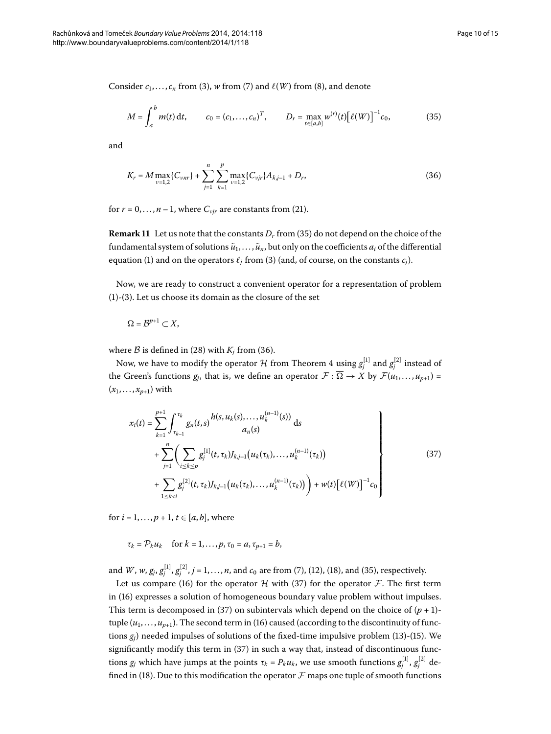Consider  $c_1, \ldots, c_n$  from [\(](#page-1-0)3[\)](#page-2-3),  $w$  from (7) and  $\ell(W)$  from (8), and denote

<span id="page-9-1"></span><span id="page-9-0"></span>
$$
M = \int_{a}^{b} m(t) dt, \qquad c_0 = (c_1, \dots, c_n)^T, \qquad D_r = \max_{t \in [a, b]} w^{(r)}(t) \big[ \ell(W) \big]^{-1} c_0,
$$
 (35)

and

$$
K_r = M \max_{\nu=1,2} \{C_{vnr}\} + \sum_{j=1}^n \sum_{k=1}^p \max_{\nu=1,2} \{C_{vjr}\} A_{kj-1} + D_r,
$$
\n(36)

for  $r = 0, \ldots, n - 1$ , where  $C_{\nu j r}$  are constants from [\(](#page-5-0)21).

**Remark 11** Let us note that the constants  $D_r$  from [\(](#page-9-0)35) do not depend on the choice of the fundamental system of solutions  $\tilde{u}_1, \ldots, \tilde{u}_n$ , but only on the coefficients  $a_i$  of the differential equation [\(](#page-1-0)1) and on the operators  $\ell_j$  from (3) (and, of course, on the constants  $c_j$ ).

Now, we are ready to construct a convenient operator for a representation of problem  $(1)-(3)$  $(1)-(3)$  $(1)-(3)$ . Let us choose its domain as the closure of the set

$$
\Omega=\mathcal{B}^{p+1}\subset X,
$$

where  $\beta$  is defined in (28) with  $K_i$  from (36).

Now, we have to modify the operator  ${\cal H}$  from Theorem 4 using  $g_j^{[1]}$  and  $g_j^{[2]}$  instead of the Green's functions  $g_j$ , that is, we define an operator  $\mathcal{F} : \overline{\Omega} \to X$  by  $\mathcal{F}(u_1, \ldots, u_{p+1}) =$  $(x_1, ..., x_{p+1})$  with

<span id="page-9-2"></span>
$$
x_i(t) = \sum_{k=1}^{p+1} \int_{\tau_{k-1}}^{\tau_k} g_n(t,s) \frac{h(s, u_k(s), \dots, u_k^{(n-1)}(s))}{a_n(s)} ds
$$
  
+ 
$$
\sum_{j=1}^n \left( \sum_{i \le k \le p} g_j^{[1]}(t, \tau_k) J_{k,j-1}(u_k(\tau_k), \dots, u_k^{(n-1)}(\tau_k)) + \sum_{1 \le k < i} g_j^{[2]}(t, \tau_k) J_{k,j-1}(u_k(\tau_k), \dots, u_k^{(n-1)}(\tau_k)) \right) + w(t) [\ell(W)]^{-1} c_0
$$
(37)

for  $i = 1, ..., p + 1, t \in [a, b]$ , where

 $\tau_k = \mathcal{P}_k u_k$  for  $k = 1, ..., p$ ,  $\tau_0 = a, \tau_{n+1} = b$ ,

and *W*,  $w$ ,  $g_j$ ,  $g_j^{[1]}$ ,  $g_j^{[2]}$ ,  $j = 1, ..., n$ , and  $c_0$  are from (7[\)](#page-9-0), (12), (18), and (35), respectively.

Let us compare (16[\)](#page-4-4) for the operator  $H$  with (37) for the operator  $F$ . The first term in (16) expresses a solution of homogeneous boundary value problem without impulses. This term is decomposed in (37) on subintervals which depend on the choice of  $(p + 1)$ tuple  $(u_1, \ldots, u_{p+1})$ . The second term in (16) caused (according to the discontinuity of functions  $g_i$ ) needed impulses of solutions of the fixed-time impulsive problem (13)-(15). We significantly modify this term in  $(37)$  $(37)$  in such a way that, instead of discontinuous functions  $g_j$  which have jumps at the points  $\tau_k = P_k u_k$ , we use smooth functions  $g_j^{[1]}, g_j^{[2]}$  de-fined in [\(](#page-5-1)18). Due to this modification the operator  $\mathcal F$  maps one tuple of smooth functions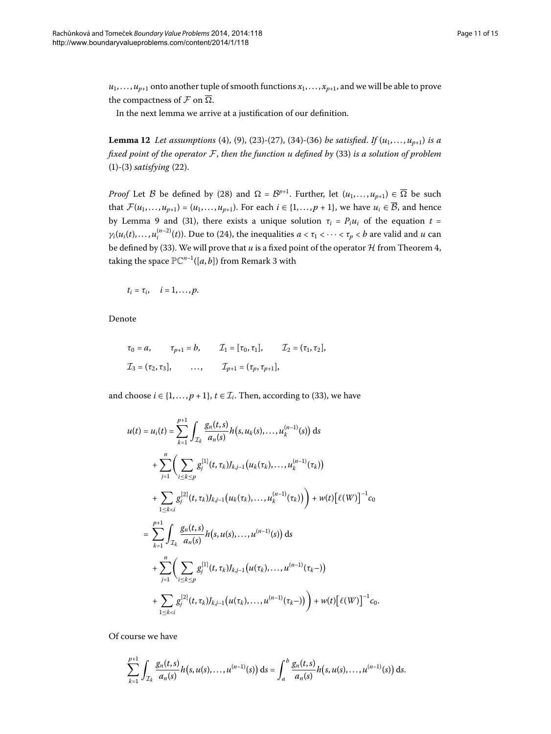<span id="page-10-0"></span> $u_1, \ldots, u_{p+1}$  onto another tuple of smooth functions  $x_1, \ldots, x_{p+1}$ , and we will be able to prove the compactness of  $\mathcal F$  on  $\overline{\Omega}$ .

In the next lemma we arrive at a justification of our definition.

**Lemma 12** Let assumptions [\(](#page-2-1)4[\)](#page-6-8), (9), (23)-(27), (34)-(36) be satisfied. If  $(u_1, \ldots, u_{p+1})$  is a *fixed point of the operator*  $F$ *, then the function u defined by [\(](#page-8-2)33) is a solution of problem*  $(1)$  $(1)$ - $(3)$  $(3)$  *satisfying*  $(22)$ .

*Proof* Let B be defined by (28) and  $\Omega = \mathcal{B}^{p+1}$ . Further, let  $(u_1, \ldots, u_{p+1}) \in \overline{\Omega}$  be such that  $\mathcal{F}(u_1,\ldots,u_{p+1})=(u_1,\ldots,u_{p+1})$ . For each  $i\in\{1,\ldots,p+1\}$ , we have  $u_i\in\overline{\mathcal{B}}$ , and hence by Lemma 9 and [\(](#page-7-2)31), there exists a unique solution  $\tau_i = P_i u_i$  of the equation  $t =$  $\gamma_i(u_i(t), \dots, u_i^{(n-2)}(t))$ . Due to (24), the inequalities  $a < \tau_1 < \dots < \tau_p < b$  are valid and *u* can be defined by (33). We will prove that  $u$  is a fixed point of the operator  $H$  from Theorem 4, taking the space  $\mathbb{PC}^{n-1}([a, b])$  from Remark 3 with

$$
t_i=\tau_i, \quad i=1,\ldots,p.
$$

Denote

$$
\tau_0 = a,
$$
\n $\tau_{p+1} = b,$ \n $\mathcal{I}_1 = [\tau_0, \tau_1],$ \n $\mathcal{I}_2 = (\tau_1, \tau_2],$ \n  
\n $\mathcal{I}_3 = (\tau_2, \tau_3],$ \n $\dots,$ \n $\mathcal{I}_{p+1} = (\tau_p, \tau_{p+1}],$ 

and choose  $i \in \{1, ..., p + 1\}$ ,  $t \in \mathcal{I}_i$ . Then, according to [\(](#page-8-2)33), we have

$$
u(t) = u_i(t) = \sum_{k=1}^{p+1} \int_{\mathcal{I}_k} \frac{g_n(t,s)}{a_n(s)} h(s, u_k(s), \dots, u_k^{(n-1)}(s)) ds
$$
  
+ 
$$
\sum_{j=1}^n \left( \sum_{i \le k \le p} g_i^{[1]}(t, \tau_k) J_{k,j-1}(u_k(\tau_k), \dots, u_k^{(n-1)}(\tau_k)) + \sum_{1 \le k < i} g_i^{[2]}(t, \tau_k) J_{k,j-1}(u_k(\tau_k), \dots, u_k^{(n-1)}(\tau_k)) \right) + w(t) \left[ \ell(W) \right]^{-1} c_0
$$
  
= 
$$
\sum_{k=1}^{p+1} \int_{\mathcal{I}_k} \frac{g_n(t,s)}{a_n(s)} h(s, u(s), \dots, u^{(n-1)}(s)) ds
$$
  
+ 
$$
\sum_{j=1}^n \left( \sum_{i \le k \le p} g_i^{[1]}(t, \tau_k) J_{k,j-1}(u(\tau_k), \dots, u^{(n-1)}(\tau_k-)) + \sum_{1 \le k < i} g_i^{[2]}(t, \tau_k) J_{k,j-1}(u(\tau_k), \dots, u^{(n-1)}(\tau_k-)) \right) + w(t) \left[ \ell(W) \right]^{-1} c_0.
$$

Of course we have

$$
\sum_{k=1}^{p+1} \int_{\mathcal{I}_k} \frac{g_n(t,s)}{a_n(s)} h(s,u(s),\ldots,u^{(n-1)}(s)) ds = \int_a^b \frac{g_n(t,s)}{a_n(s)} h(s,u(s),\ldots,u^{(n-1)}(s)) ds.
$$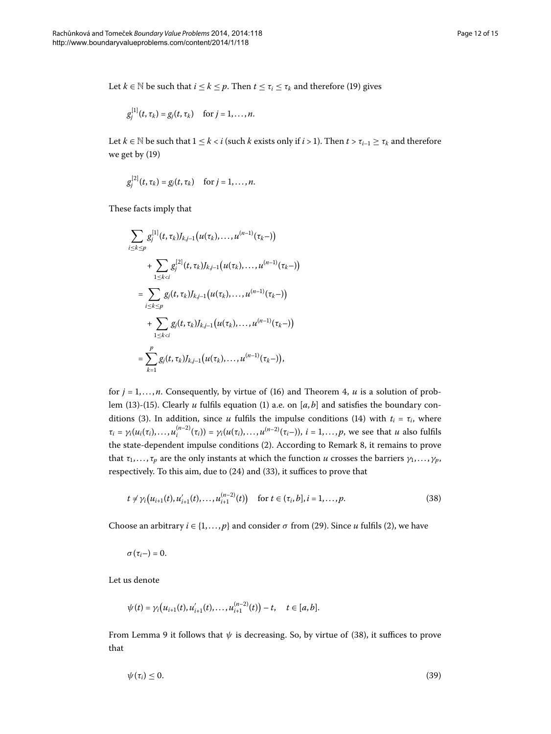Let *k* ∈ N be such that *i* ≤ *k* ≤ *p*. Then *t* ≤ *τ<sub>i</sub>* ≤ *τ<sub>k</sub>* and therefore (19) gives

$$
g_j^{[1]}(t,\tau_k)=g_j(t,\tau_k)\quad\text{ for }j=1,\ldots,n.
$$

Let  $k \in \mathbb{N}$  be such that  $1 \leq k < i$  (such  $k$  exists only if  $i > 1$ ). Then  $t > \tau_{i-1} \geq \tau_k$  and therefore we get by  $(19)$  $(19)$ 

$$
g_j^{[2]}(t, \tau_k) = g_j(t, \tau_k)
$$
 for  $j = 1, ..., n$ .

These facts imply that

$$
\sum_{i \leq k \leq p} g_j^{[1]}(t, \tau_k) J_{k,j-1}(u(\tau_k), \dots, u^{(n-1)}(\tau_k-))
$$
  
+ 
$$
\sum_{1 \leq k < i} g_j^{[2]}(t, \tau_k) J_{k,j-1}(u(\tau_k), \dots, u^{(n-1)}(\tau_k-))
$$
  
= 
$$
\sum_{i \leq k \leq p} g_j(t, \tau_k) J_{k,j-1}(u(\tau_k), \dots, u^{(n-1)}(\tau_k-))
$$
  
+ 
$$
\sum_{1 \leq k < i} g_j(t, \tau_k) J_{k,j-1}(u(\tau_k), \dots, u^{(n-1)}(\tau_k-))
$$
  
= 
$$
\sum_{k=1}^p g_j(t, \tau_k) J_{k,j-1}(u(\tau_k), \dots, u^{(n-1)}(\tau_k-)),
$$

for  $j = 1, \ldots, n$ . Consequently, by virtue of [\(](#page-4-4)16) and Theorem 4, *u* is a solution of prob-lem [\(](#page-4-1)13[\)](#page-0-1)-(15). Clearly *u* fulfils equation (1) a.e. on [a, b] and satisfies the boundary con-ditions (3[\)](#page-1-0). In addition, since *u* fulfils the impulse conditions [\(](#page-3-5)14) with  $t_i = \tau_i$ , where  $\tau_i = \gamma_i(u_i(\tau_i), \dots, u_i^{(n-2)}(\tau_i)) = \gamma_i(u(\tau_i), \dots, u^{(n-2)}(\tau_i-)), i = 1, \dots, p$ , we see that u also fulfils the state-dependent impulse conditions (2[\)](#page-0-2). According to Remark 8, it remains to prove that  $\tau_1, \ldots, \tau_p$  are the only instants at which the function *u* crosses the barriers  $\gamma_1, \ldots, \gamma_p$ , respectively. To this aim, due to  $(24)$  $(24)$  and  $(33)$ , it suffices to prove that

<span id="page-11-0"></span>
$$
t \neq \gamma_i \big( u_{i+1}(t), u'_{i+1}(t), \dots, u^{(n-2)}_{i+1}(t) \big) \quad \text{for } t \in (\tau_i, b], i = 1, \dots, p. \tag{38}
$$

Choose an arbitrary  $i \in \{1, ..., p\}$  and consider  $\sigma$  from [\(](#page-0-2)29). Since *u* fulfils (2), we have

 $\sigma(\tau_i-) = 0$ .

Let us denote

<span id="page-11-1"></span>
$$
\psi(t) = \gamma_i\big(u_{i+1}(t), u'_{i+1}(t), \ldots, u^{(n-2)}_{i+1}(t)\big) - t, \quad t \in [a, b].
$$

From Lemma 9 it follows that  $\psi$  is decreasing. So, by virtue of (38), it suffices to prove that

$$
\psi(\tau_i) \leq 0. \tag{39}
$$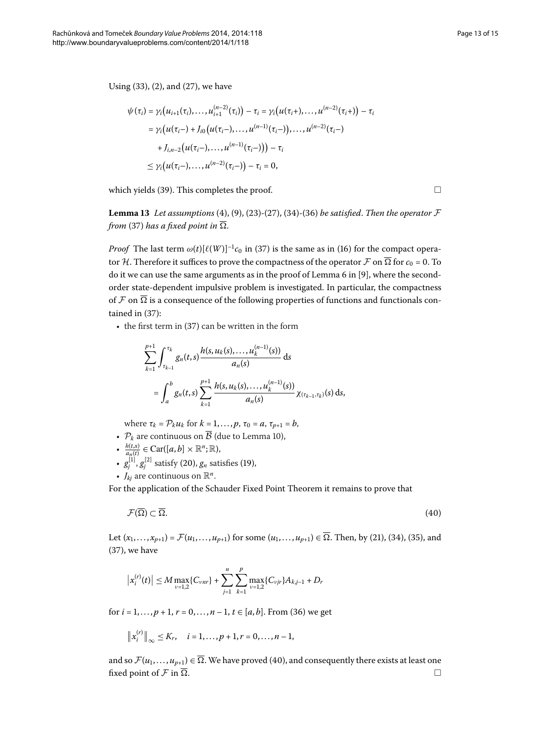Using  $(33)$  $(33)$ ,  $(2)$  $(2)$ , and  $(27)$ , we have

<span id="page-12-1"></span>
$$
\psi(\tau_i) = \gamma_i (u_{i+1}(\tau_i), \dots, u_{i+1}^{(n-2)}(\tau_i)) - \tau_i = \gamma_i (u(\tau_i+), \dots, u^{(n-2)}(\tau_i+)) - \tau_i
$$
  
\n
$$
= \gamma_i (u(\tau_i-) + J_{i0}(u(\tau_i-), \dots, u^{(n-1)}(\tau_i-)), \dots, u^{(n-2)}(\tau_i-)
$$
  
\n
$$
+ J_{i,n-2}(u(\tau_i-), \dots, u^{(n-1)}(\tau_i-))) - \tau_i
$$
  
\n
$$
\leq \gamma_i (u(\tau_i-), \dots, u^{(n-2)}(\tau_i-)) - \tau_i = 0,
$$

which yields [\(](#page-11-1)39). This completes the proof.

**Lemma 13** Let assumptions [\(](#page-6-8)4[\)](#page-8-1), (9), (23)-(27), (34)-(36) be satisfied. Then the operator  $\mathcal F$ *from* [\(](#page-9-2)37) has a fixed point in  $\overline{\Omega}$ .

*Proof* The last term  $\omega(t)[\ell(W)]^{-1}c_0$  $\omega(t)[\ell(W)]^{-1}c_0$  $\omega(t)[\ell(W)]^{-1}c_0$  in (37) is the same as in (16) for the compact operator H. Therefore it suffices to prove the compactness of the operator  $\mathcal F$  on  $\overline{\Omega}$  for  $c_0 = 0$ . To do it we can use the same arguments as in the proof of Lemma  $6$  in [9], where the secondorder state-dependent impulsive problem is investigated. In particular, the compactness of  $\mathcal F$  on  $\overline{\Omega}$  is a consequence of the following properties of functions and functionals contained in  $(37)$ :

 $\cdot$  the first term in (37) can be written in the form

<span id="page-12-0"></span>
$$
\sum_{k=1}^{p+1} \int_{\tau_{k-1}}^{\tau_k} g_n(t,s) \frac{h(s, u_k(s), \dots, u_k^{(n-1)}(s))}{a_n(s)} ds
$$
  
= 
$$
\int_a^b g_n(t,s) \sum_{k=1}^{p+1} \frac{h(s, u_k(s), \dots, u_k^{(n-1)}(s))}{a_n(s)} \chi_{(\tau_{k-1}, \tau_k)}(s) ds,
$$

where  $\tau_k = P_k u_k$  for  $k = 1, ..., p$ ,  $\tau_0 = a$ ,  $\tau_{p+1} = b$ ,

- $\mathcal{P}_k$  are continuous on  $\overline{\mathcal{B}}$  (due to Lemma 10[\)](#page-7-0),
- ◆  $\frac{h(t,x)}{a_n(t)}$  ∈ Car([a, b] × ℝ<sup>n</sup>;ℝ),
- $g_j^{[1]}, g_j^{[2]}$  satisfy (20),  $g_n$  satisfies (19),
- $J_{ki}$  are continuous on  $\mathbb{R}^n$ .

For the application of the Schauder Fixed Point Theorem it remains to prove that

$$
\mathcal{F}(\overline{\Omega}) \subset \overline{\Omega}. \tag{40}
$$

Let  $(x_1,...,x_{n+1}) = \mathcal{F}(u_1,...,u_{n+1})$  $(x_1,...,x_{n+1}) = \mathcal{F}(u_1,...,u_{n+1})$  $(x_1,...,x_{n+1}) = \mathcal{F}(u_1,...,u_{n+1})$  $(x_1,...,x_{n+1}) = \mathcal{F}(u_1,...,u_{n+1})$  $(x_1,...,x_{n+1}) = \mathcal{F}(u_1,...,u_{n+1})$  for some  $(u_1,...,u_{n+1}) \in \overline{\Omega}$ . Then, by (21), (34), (35), and  $(37)$  $(37)$ , we have

$$
\left|x_i^{(r)}(t)\right| \le M \max_{\nu=1,2} \{C_{\nu n r}\} + \sum_{j=1}^n \sum_{k=1}^p \max_{\nu=1,2} \{C_{\nu j r}\} A_{k,j-1} + D_r
$$

for  $i = 1, ..., p + 1, r = 0, ..., n - 1, t \in [a, b]$ . From (36) we get

$$
||x_i^{(r)}||_{\infty} \le K_r
$$
,  $i = 1,...,p+1, r = 0,...,n-1$ ,

and so  $\mathcal{F}(u_1,\ldots,u_{p+1}) \in \overline{\Omega}$  $\mathcal{F}(u_1,\ldots,u_{p+1}) \in \overline{\Omega}$  $\mathcal{F}(u_1,\ldots,u_{p+1}) \in \overline{\Omega}$ . We have proved (40), and consequently there exists at least one fixed point of F in  $\overline{\Omega}$ .

 $\Box$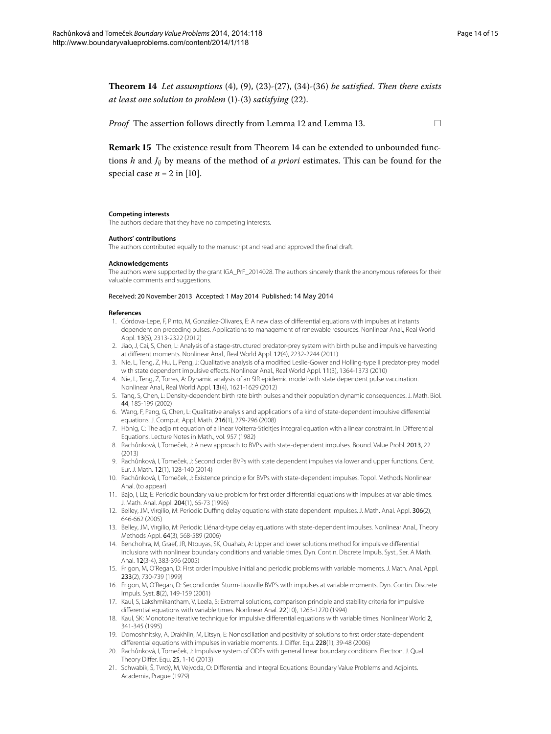$\Box$ 

<span id="page-13-10"></span>**Theorem 14** Let assumptions  $(4)$  $(4)$ ,  $(9)$  $(9)$ ,  $(23)-(27)$ ,  $(34)-(36)$  be satisfied. Then there exists *at least one solution to problem* (1[\)](#page-6-9)-[\(](#page-1-0)3) *satisfying* (22).

*Proof* The assertion follows directly from Lemma 12 and Lemma 13[.](#page-12-1)

**Remark 15** The existence result from Theorem 14 can be extended to unbounded functions *h* and *Jij* by means of the method of *a priori* estimates. This can be found for the special case  $n = 2$  in [10[\]](#page-13-4).

#### **Competing interests**

The authors declare that they have no competing interests.

#### <span id="page-13-0"></span>**Authors' contributions**

The authors contributed equally to the manuscript and read and approved the final draft.

#### **Acknowledgements**

The authors were supported by the grant IGA\_PrF\_2014028. The authors sincerely thank the anonymous referees for their valuable comments and suggestions.

#### Received: 20 November 2013 Accepted: 1 May 2014 Published: 14 May 2014

#### <span id="page-13-1"></span>**References**

- 1. Córdova-Lepe, F, Pinto, M, González-Olivares, E: A new class of differential equations with impulses at instants dependent on preceding pulses. Applications to management of renewable resources. Nonlinear Anal., Real World Appl. 13(5), 2313-2322 (2012)
- <span id="page-13-2"></span>2. Jiao, J, Cai, S, Chen, L: Analysis of a stage-structured predator-prey system with birth pulse and impulsive harvesting at different moments. Nonlinear Anal., Real World Appl. 12(4), 2232-2244 (2011)
- <span id="page-13-3"></span>3. Nie, L, Teng, Z, Hu, L, Peng, J: Qualitative analysis of a modified Leslie-Gower and Holling-type II predator-prey model with state dependent impulsive effects. Nonlinear Anal., Real World Appl. 11(3), 1364-1373 (2010)
- <span id="page-13-9"></span>4. Nie, L, Teng, Z, Torres, A: Dynamic analysis of an SIR epidemic model with state dependent pulse vaccination. Nonlinear Anal., Real World Appl. 13(4), 1621-1629 (2012)
- <span id="page-13-4"></span>5. Tang, S, Chen, L: Density-dependent birth rate birth pulses and their population dynamic consequences. J. Math. Biol. 44, 185-199 (2002)
- <span id="page-13-5"></span>6. Wang, F, Pang, G, Chen, L: Qualitative analysis and applications of a kind of state-dependent impulsive differential equations. J. Comput. Appl. Math. 216(1), 279-296 (2008)
- 7. Hönig, C: The adjoint equation of a linear Volterra-Stieltjes integral equation with a linear constraint. In: Differential Equations. Lecture Notes in Math., vol. 957 (1982)
- 8. Rachůnková, I, Tomeček, J: A new approach to BVPs with state-dependent impulses. Bound. Value Probl. 2013, 22 (2013)
- 9. Rachůnková, I, Tomeček, J: Second order BVPs with state dependent impulses via lower and upper functions. Cent. Eur. J. Math. 12(1), 128-140 (2014)
- 10. Rachůnková, I, Tomeček, J: Existence principle for BVPs with state-dependent impulses. Topol. Methods Nonlinear Anal. (to appear)
- 11. Bajo, I, Liz, E: Periodic boundary value problem for first order differential equations with impulses at variable times. J. Math. Anal. Appl. 204(1), 65-73 (1996)
- 12. Belley, JM, Virgilio, M: Periodic Duffing delay equations with state dependent impulses. J. Math. Anal. Appl. 306(2), 646-662 (2005)
- 13. Belley, JM, Virgilio, M: Periodic Liénard-type delay equations with state-dependent impulses. Nonlinear Anal., Theory Methods Appl. 64(3), 568-589 (2006)
- <span id="page-13-6"></span>14. Benchohra, M, Graef, JR, Ntouyas, SK, Ouahab, A: Upper and lower solutions method for impulsive differential inclusions with nonlinear boundary conditions and variable times. Dyn. Contin. Discrete Impuls. Syst., Ser. A Math. Anal. 12(3-4), 383-396 (2005)
- <span id="page-13-7"></span>15. Frigon, M, O'Regan, D: First order impulsive initial and periodic problems with variable moments. J. Math. Anal. Appl. 233(2), 730-739 (1999)
- <span id="page-13-8"></span>16. Frigon, M, O'Regan, D: Second order Sturm-Liouville BVP's with impulses at variable moments. Dyn. Contin. Discrete Impuls. Syst. 8(2), 149-159 (2001)
- 17. Kaul, S, Lakshmikantham, V, Leela, S: Extremal solutions, comparison principle and stability criteria for impulsive differential equations with variable times. Nonlinear Anal. 22(10), 1263-1270 (1994)
- 18. Kaul, SK: Monotone iterative technique for impulsive differential equations with variable times. Nonlinear World 2, 341-345 (1995)
- 19. Domoshnitsky, A, Drakhlin, M, Litsyn, E: Nonoscillation and positivity of solutions to first order state-dependent differential equations with impulses in variable moments. J. Differ. Equ. 228(1), 39-48 (2006)
- 20. Rachůnková, I, Tomeček, J: Impulsive system of ODEs with general linear boundary conditions. Electron. J. Qual. Theory Differ. Equ. 25, 1-16 (2013)
- 21. Schwabik, Š, Tvrdý, M, Vejvoda, O: Differential and Integral Equations: Boundary Value Problems and Adjoints. Academia, Prague (1979)